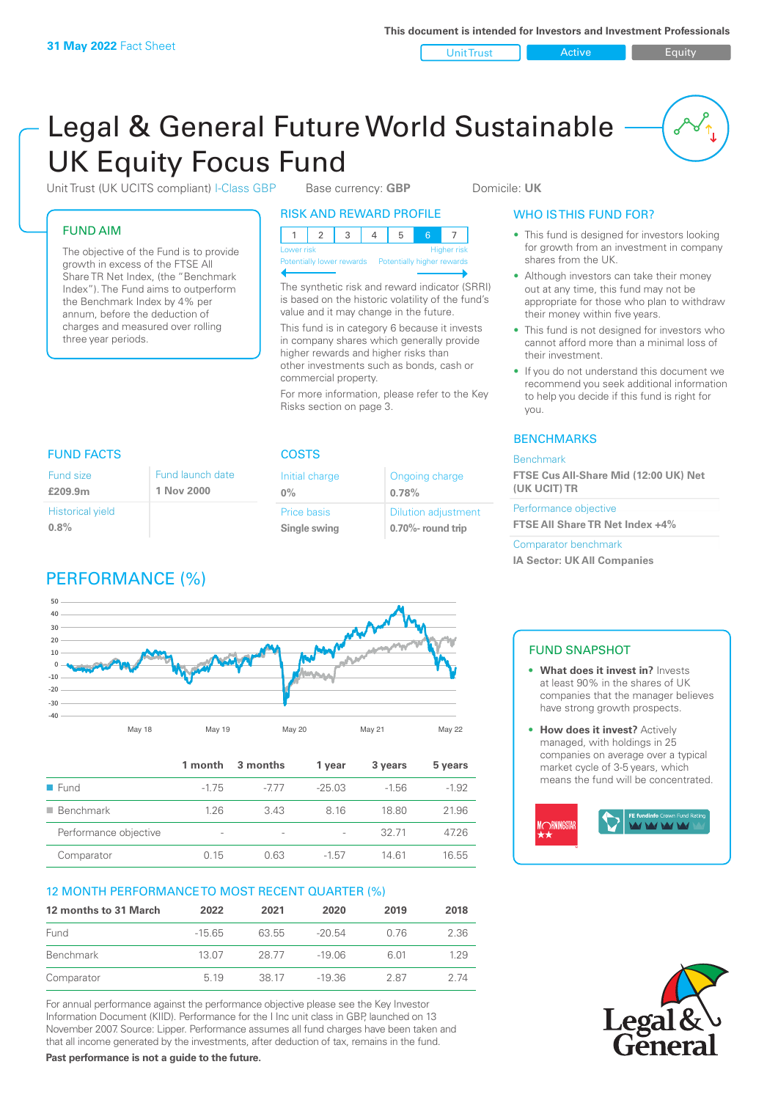Unit Trust **Active Active** Equity

# Legal & General Future World Sustainable UK Equity Focus Fund

Unit Trust (UK UCITS compliant) I-Class GBP Base currency: **GBP** Domicile: UK

#### FUND AIM

Fund size **£209.9m**

**0.8%**

Historical yield

The objective of the Fund is to provide growth in excess of the FTSE All Share TR Net Index, (the "Benchmark Index"). The Fund aims to outperform the Benchmark Index by 4% per annum, before the deduction of charges and measured over rolling three year periods.

> Fund launch date **1 Nov 2000**

# RISK AND REWARD PROFILE

| Lower risk |  |  |  |  | <b>Higher risk</b> |  |
|------------|--|--|--|--|--------------------|--|

**Potentially lower rewards** 

The synthetic risk and reward indicator (SRRI) is based on the historic volatility of the fund's value and it may change in the future.

This fund is in category 6 because it invests in company shares which generally provide higher rewards and higher risks than other investments such as bonds, cash or commercial property.

For more information, please refer to the Key Risks section on page 3.

> Ongoing charge **0.78%**

Dilution adjustment **0.70%- round trip**

#### WHO IS THIS FUND FOR?

- This fund is designed for investors looking for growth from an investment in company shares from the UK.
- Although investors can take their money out at any time, this fund may not be appropriate for those who plan to withdraw their money within five years.
- This fund is not designed for investors who cannot afford more than a minimal loss of their investment.
- If you do not understand this document we recommend you seek additional information to help you decide if this fund is right for you.

#### **BENCHMARKS**

#### Benchmark

**FTSE Cus All-Share Mid (12:00 UK) Net (UK UCIT) TR**

Performance objective **FTSE All Share TR Net Index +4%**

Comparator benchmark **IA Sector: UK All Companies**





|                          | 1 month                  | 3 months                 | 1 vear   | 3 years | 5 years |
|--------------------------|--------------------------|--------------------------|----------|---------|---------|
| $\blacksquare$ Fund      | $-1.75$                  | -777                     | $-25.03$ | $-1.56$ | $-1.92$ |
| $\blacksquare$ Benchmark | 1.26                     | 343                      | 816      | 18.80   | 21.96   |
| Performance objective    | $\overline{\phantom{a}}$ | $\overline{\phantom{a}}$ |          | 32 71   | 47.26   |
| Comparator               | 0.15                     | 0.63                     | $-1.57$  | 1461    | 16.55   |

#### 12 MONTH PERFORMANCE TO MOST RECENT QUARTER (%)

| 12 months to 31 March | 2022    | 2021  | 2020     | 2019 | 2018 |
|-----------------------|---------|-------|----------|------|------|
| Fund                  | $-1565$ | 63 55 | $-20.54$ | 0.76 | 2.36 |
| <b>Benchmark</b>      | 13.07   | 28.77 | -19.06   | 6.01 | 129  |
| Comparator            | 5 1 9   | 38 17 | $-19.36$ | 287  | 2 74 |

For annual performance against the performance objective please see the Key Investor Information Document (KIID). Performance for the I Inc unit class in GBP, launched on 13 November 2007. Source: Lipper. Performance assumes all fund charges have been taken and that all income generated by the investments, after deduction of tax, remains in the fund.

**Past performance is not a guide to the future.**

#### FUND SNAPSHOT

- **• What does it invest in?** Invests at least 90% in the shares of UK companies that the manager believes have strong growth prospects.
- **• How does it invest?** Actively managed, with holdings in 25 companies on average over a typical market cycle of 3-5 years, which means the fund will be concentrated.





FUND FACTS COSTS Initial charge

**0%**

Price basis **Single swing**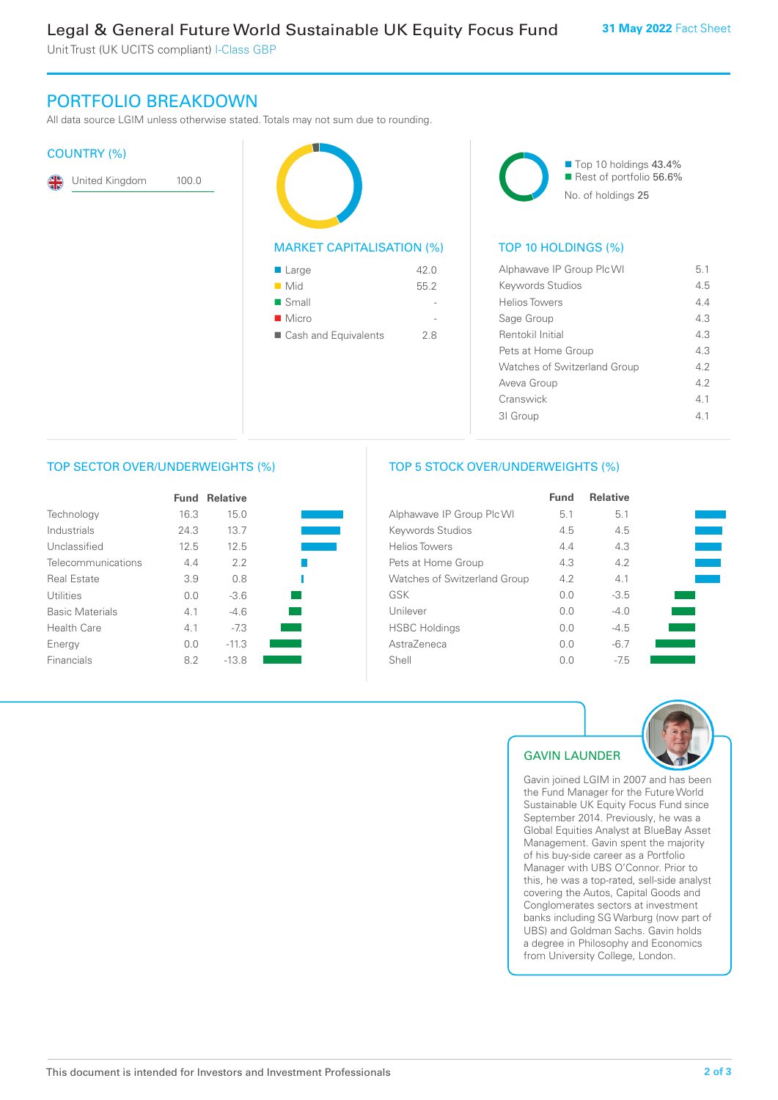Unit Trust (UK UCITS compliant) I-Class GBP

# PORTFOLIO BREAKDOWN

All data source LGIM unless otherwise stated. Totals may not sum due to rounding.

#### COUNTRY (%)

|  |  | United Kingdom | 100.0 |
|--|--|----------------|-------|
|--|--|----------------|-------|

| <b>MARKET CAPITALISATION (%)</b> |      |
|----------------------------------|------|
| $\blacksquare$ Large             | 42.0 |
| Mid                              | 55.2 |
| $\blacksquare$ Small             |      |
| $\blacksquare$ Micro             |      |
| ■ Cash and Equivalents           | 2.8  |
|                                  |      |



#### TOP 10 HOLDINGS (%)

| Alphawave IP Group Plc WI           | 51  |
|-------------------------------------|-----|
| Keywords Studios                    | 4.5 |
| Helios Towers                       | 44  |
| Sage Group                          | 43  |
| Rentokil Initial                    | 43  |
| Pets at Home Group                  | 43  |
| <b>Watches of Switzerland Group</b> | 42  |
| Aveva Group                         | 42  |
| Cranswick                           | 41  |
| 31 Group                            | 41  |
|                                     |     |

#### TOP SECTOR OVER/UNDERWEIGHTS (%)

|                        | Fund | <b>Relative</b> |  |
|------------------------|------|-----------------|--|
| Technology             | 16.3 | 15.0            |  |
| Industrials            | 24.3 | 13.7            |  |
| Unclassified           | 12.5 | 12.5            |  |
| Telecommunications     | 4.4  | 2.2             |  |
| <b>Real Estate</b>     | 3.9  | 0.8             |  |
| Utilities              | 0.0  | $-3.6$          |  |
| <b>Basic Materials</b> | 4.1  | $-4.6$          |  |
| Health Care            | 4.1  | $-7.3$          |  |
| Energy                 | 0.0  | $-11.3$         |  |
| Financials             | 8.2  | $-13.8$         |  |

#### TOP 5 STOCK OVER/UNDERWEIGHTS (%)

|                                     | <b>Fund</b> | <b>Relative</b> |  |
|-------------------------------------|-------------|-----------------|--|
| Alphawave IP Group Plc WI           | 5.1         | 5.1             |  |
| Keywords Studios                    | 4.5         | 4.5             |  |
| <b>Helios Towers</b>                | 4.4         | 4.3             |  |
| Pets at Home Group                  | 4.3         | 4.2             |  |
| <b>Watches of Switzerland Group</b> | 4.2         | 4.1             |  |
| GSK                                 | 0.0         | $-3.5$          |  |
| Unilever                            | 0.0         | $-4.0$          |  |
| <b>HSBC Holdings</b>                | 0.0         | $-4.5$          |  |
| AstraZeneca                         | 0.0         | $-6.7$          |  |
| Shell                               | 0.0         | $-75$           |  |



#### GAVIN LAUNDER

Gavin joined LGIM in 2007 and has been the Fund Manager for the Future World Sustainable UK Equity Focus Fund since September 2014. Previously, he was a Global Equities Analyst at BlueBay Asset Management. Gavin spent the majority of his buy-side career as a Portfolio Manager with UBS O'Connor. Prior to this, he was a top-rated, sell-side analyst covering the Autos, Capital Goods and Conglomerates sectors at investment banks including SG Warburg (now part of UBS) and Goldman Sachs. Gavin holds a degree in Philosophy and Economics from University College, London.